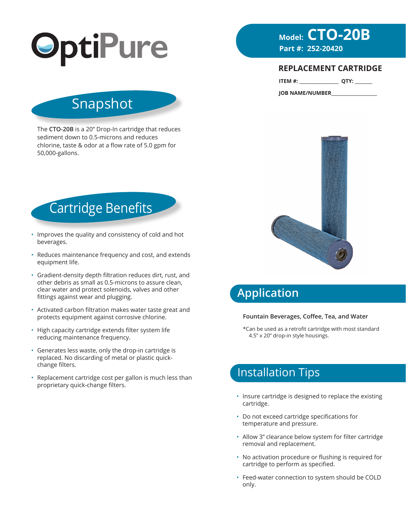

# **Model: CTO-20B**<br>Part #: 252-20420

#### **REPLACEMENT CARTRIDGE**

**ITEM #: \_\_\_\_\_\_\_\_\_\_\_\_\_\_\_\_\_\_ QTY: \_\_\_\_\_\_\_\_**

**JOB NAME/NUMBER\_\_\_\_\_\_\_\_\_\_\_\_\_\_\_\_\_\_\_\_\_**

# Snapshot

The **CTO-20B** is a 20" Drop-In cartridge that reduces sediment down to 0.5-microns and reduces chlorine, taste & odor at a flow rate of 5.0 gpm for 50,000-gallons.



- Improves the quality and consistency of cold and hot beverages.
- Reduces maintenance frequency and cost, and extends equipment life.
- Gradient-density depth filtration reduces dirt, rust, and other debris as small as 0.5-microns to assure clean, clear water and protect solenoids, valves and other fittings against wear and plugging.
- Activated carbon filtration makes water taste great and protects equipment against corrosive chlorine.
- High capacity cartridge extends filter system life reducing maintenance frequency.
- Generates less waste, only the drop-in cartridge is replaced. No discarding of metal or plastic quickchange filters.
- Replacement cartridge cost per gallon is much less than proprietary quick-change filters.



# **Application**

#### **Fountain Beverages, Coffee, Tea, and Water**

\*Can be used as a retrofit cartridge with most standard 4.5" x 20" drop-in style housings.

## Installation Tips

- Insure cartridge is designed to replace the existing cartridge.
- Do not exceed cartridge specifications for temperature and pressure.
- Allow 3" clearance below system for filter cartridge removal and replacement.
- No activation procedure or flushing is required for cartridge to perform as specified.
- Feed-water connection to system should be COLD only.